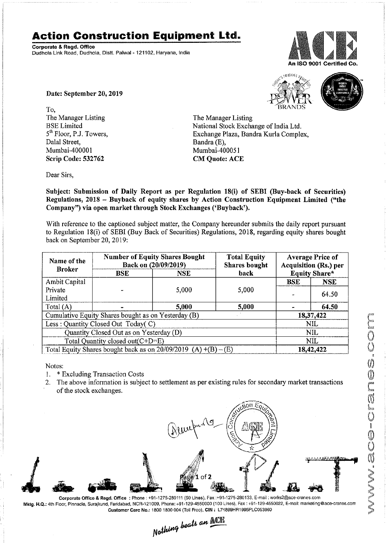## Action Construction Equipment Ltd.

Corporate & Regd. Office Dudhoia Link Road, Dudhola, Disti. Palwal - 121102, Haryana. India



Date: September 20, 2019

To, The Manager Listing BSE Limited 5<sup>th</sup> Floor, P.J. Towers, Dalal Street, Mumbai-400001 Scrip Code: 532762

 $4\%$   $V_{\rm BRANI}$  $\bigwedge$ BRANDS



The Manager Listing National Stock Exchange of India Ltd. Exchange Plaza, Bandra Kurla Complex, Bandra (E), Mumbai-400051 CM Quote: ACE

Dear Sirs,

Subject: Submission of Daily Report as per Regulation 18(i) of SEBI (Buy-back of Securities) Regulations, 2018 - Buyback of equity shares by Action Construction Equipment Limited ("the Company") via open market through Stock Exchanges ('Buybaek').

With reference to the captioned subject matter, the Company hereunder submits the daily report pursuant to Regulation 18(i) of SEBI (Buy Back of Securities) Regulations, 2018, regarding equity shares bought back on September 20, 2019:

| Name of the<br><b>Broker</b>                                                 | <b>Number of Equity Shares Bought</b><br>Back on (20/09/2019) |            | <b>Total Equity</b><br><b>Shares</b> bought | <b>Average Price of</b><br>Acquisition (Rs.) per |            |  |
|------------------------------------------------------------------------------|---------------------------------------------------------------|------------|---------------------------------------------|--------------------------------------------------|------------|--|
|                                                                              | <b>BSE</b>                                                    | <b>NSE</b> | <b>Equity Share*</b><br>back                |                                                  |            |  |
| Ambit Capital                                                                |                                                               |            |                                             | <b>BSE</b>                                       | <b>NSE</b> |  |
| Private                                                                      |                                                               | 5,000      | 5,000                                       |                                                  | 64.50      |  |
| Limited                                                                      |                                                               |            |                                             |                                                  |            |  |
| Total $(A)$                                                                  |                                                               | 5,000      | 5,000                                       |                                                  | 64.50      |  |
| Cumulative Equity Shares bought as on Yesterday (B)                          |                                                               |            |                                             |                                                  | 18,37,422  |  |
| Less: Quantity Closed Out Today(C)                                           |                                                               |            |                                             | <b>NIL</b>                                       |            |  |
| Quantity Closed Out as on Yesterday (D)                                      |                                                               |            |                                             | NIL.                                             |            |  |
| Total Quantity closed out $(C+D=E)$                                          |                                                               |            |                                             | NIL                                              |            |  |
| Total Equity Shares bought back as on $20/09/2019$ (A) $\overline{+(B)-(E)}$ |                                                               |            |                                             | 18,42,422                                        |            |  |

Notes:

 $1.$ Excluding Transaction Costs

2. The above information is subject to settlement as per existing rules for secondary market transactions of the stock exchanges.



Corporate Office & Regd. Office: Phone: +91-1275-280111 (50 Lines), Fax: +91-1275-280133, E-mail: works2@ace-cranes.com Mktg. H.Q.: 4th Floor, Pinnacle, Surajkund, Faridabad, NCR-121009, Phone: +91-129-4550000 (100 Lines), Fax: +91-129-4550022, E-mail: marketing@ace-cranes.com Customer Care No.5 1800 1800 004 (Toll Free). CIN : L74899HR1995PLCO558€0